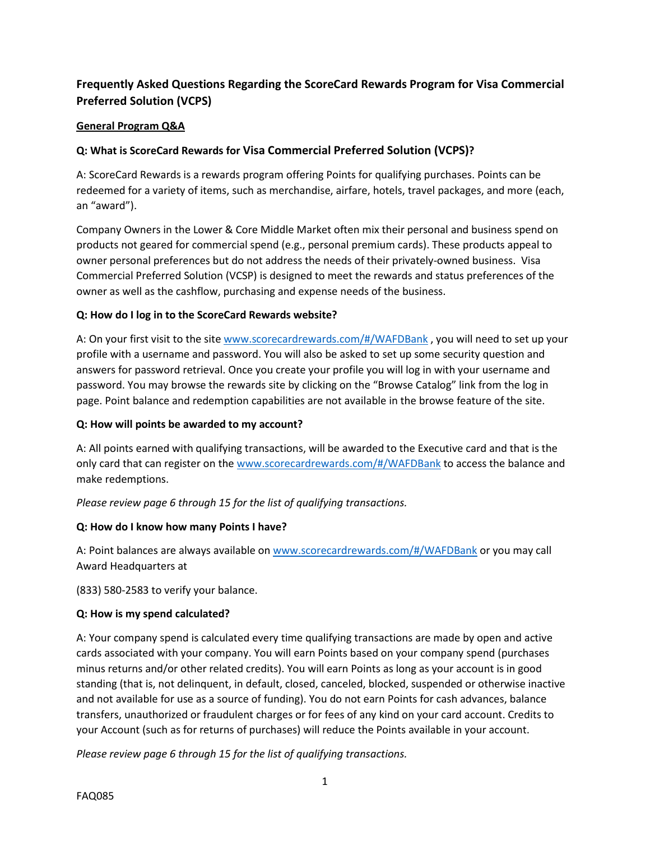# **Frequently Asked Questions Regarding the ScoreCard Rewards Program for Visa Commercial Preferred Solution (VCPS)**

## **General Program Q&A**

## **Q: What is ScoreCard Rewards for Visa Commercial Preferred Solution (VCPS)?**

A: ScoreCard Rewards is a rewards program offering Points for qualifying purchases. Points can be redeemed for a variety of items, such as merchandise, airfare, hotels, travel packages, and more (each, an "award").

Company Owners in the Lower & Core Middle Market often mix their personal and business spend on products not geared for commercial spend (e.g., personal premium cards). These products appeal to owner personal preferences but do not address the needs of their privately-owned business. Visa Commercial Preferred Solution (VCSP) is designed to meet the rewards and status preferences of the owner as well as the cashflow, purchasing and expense needs of the business.

## **Q: How do I log in to the ScoreCard Rewards website?**

A: On your first visit to the site [www.scorecardrewards.com/#/WAFDBank](http://www.scorecardrewards.com/#/WAFDBank) , you will need to set up your profile with a username and password. You will also be asked to set up some security question and answers for password retrieval. Once you create your profile you will log in with your username and password. You may browse the rewards site by clicking on the "Browse Catalog" link from the log in page. Point balance and redemption capabilities are not available in the browse feature of the site.

#### **Q: How will points be awarded to my account?**

A: All points earned with qualifying transactions, will be awarded to the Executive card and that is the only card that can register on the [www.scorecardrewards.com/#/WAFDBank](http://www.scorecardrewards.com/#/WAFDBank) to access the balance and make redemptions.

*Please review page 6 through 15 for the list of qualifying transactions.*

## **Q: How do I know how many Points I have?**

A: Point balances are always available on [www.scorecardrewards.com/#/WAFDBank](http://www.scorecardrewards.com/#/WAFDBank) or you may call Award Headquarters at

(833) 580-2583 to verify your balance.

#### **Q: How is my spend calculated?**

A: Your company spend is calculated every time qualifying transactions are made by open and active cards associated with your company. You will earn Points based on your company spend (purchases minus returns and/or other related credits). You will earn Points as long as your account is in good standing (that is, not delinquent, in default, closed, canceled, blocked, suspended or otherwise inactive and not available for use as a source of funding). You do not earn Points for cash advances, balance transfers, unauthorized or fraudulent charges or for fees of any kind on your card account. Credits to your Account (such as for returns of purchases) will reduce the Points available in your account.

*Please review page 6 through 15 for the list of qualifying transactions.*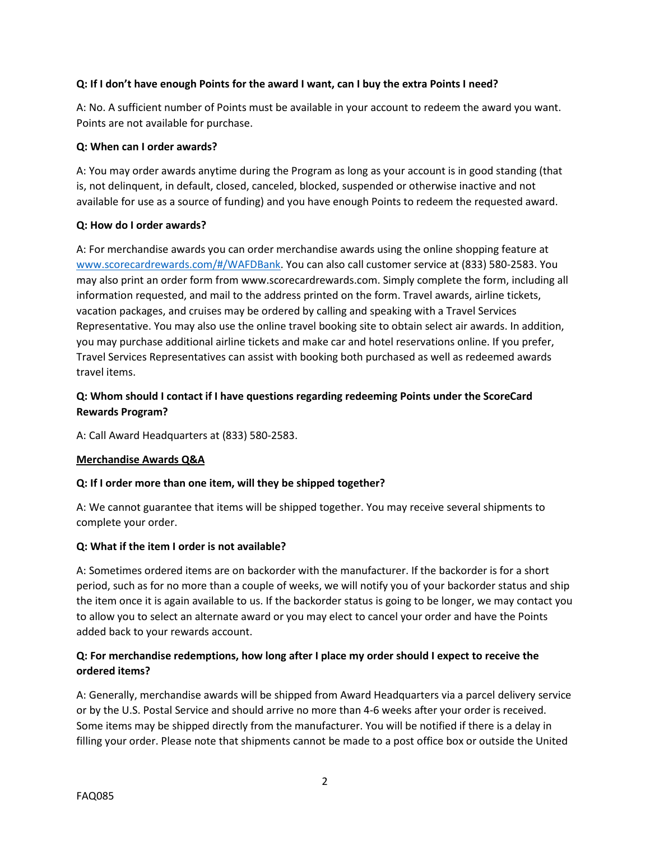## **Q: If I don't have enough Points for the award I want, can I buy the extra Points I need?**

A: No. A sufficient number of Points must be available in your account to redeem the award you want. Points are not available for purchase.

#### **Q: When can I order awards?**

A: You may order awards anytime during the Program as long as your account is in good standing (that is, not delinquent, in default, closed, canceled, blocked, suspended or otherwise inactive and not available for use as a source of funding) and you have enough Points to redeem the requested award.

## **Q: How do I order awards?**

A: For merchandise awards you can order merchandise awards using the online shopping feature at [www.scorecardrewards.com/#/WAFDBank.](http://www.scorecardrewards.com/#/WAFDBank) You can also call customer service at (833) 580-2583. You may also print an order form from www.scorecardrewards.com. Simply complete the form, including all information requested, and mail to the address printed on the form. Travel awards, airline tickets, vacation packages, and cruises may be ordered by calling and speaking with a Travel Services Representative. You may also use the online travel booking site to obtain select air awards. In addition, you may purchase additional airline tickets and make car and hotel reservations online. If you prefer, Travel Services Representatives can assist with booking both purchased as well as redeemed awards travel items.

## **Q: Whom should I contact if I have questions regarding redeeming Points under the ScoreCard Rewards Program?**

A: Call Award Headquarters at (833) 580-2583.

#### **Merchandise Awards Q&A**

## **Q: If I order more than one item, will they be shipped together?**

A: We cannot guarantee that items will be shipped together. You may receive several shipments to complete your order.

## **Q: What if the item I order is not available?**

A: Sometimes ordered items are on backorder with the manufacturer. If the backorder is for a short period, such as for no more than a couple of weeks, we will notify you of your backorder status and ship the item once it is again available to us. If the backorder status is going to be longer, we may contact you to allow you to select an alternate award or you may elect to cancel your order and have the Points added back to your rewards account.

## **Q: For merchandise redemptions, how long after I place my order should I expect to receive the ordered items?**

A: Generally, merchandise awards will be shipped from Award Headquarters via a parcel delivery service or by the U.S. Postal Service and should arrive no more than 4-6 weeks after your order is received. Some items may be shipped directly from the manufacturer. You will be notified if there is a delay in filling your order. Please note that shipments cannot be made to a post office box or outside the United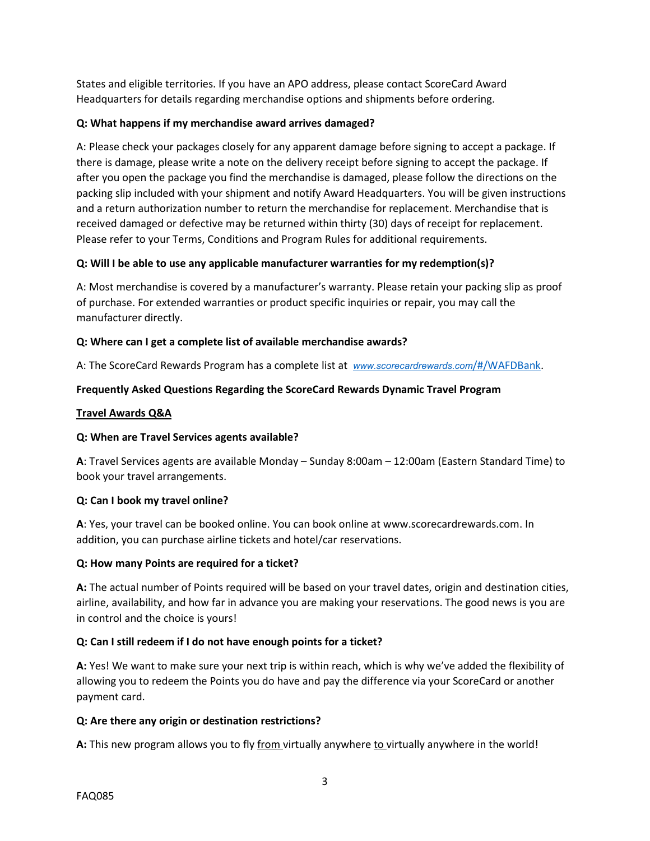States and eligible territories. If you have an APO address, please contact ScoreCard Award Headquarters for details regarding merchandise options and shipments before ordering.

## **Q: What happens if my merchandise award arrives damaged?**

A: Please check your packages closely for any apparent damage before signing to accept a package. If there is damage, please write a note on the delivery receipt before signing to accept the package. If after you open the package you find the merchandise is damaged, please follow the directions on the packing slip included with your shipment and notify Award Headquarters. You will be given instructions and a return authorization number to return the merchandise for replacement. Merchandise that is received damaged or defective may be returned within thirty (30) days of receipt for replacement. Please refer to your Terms, Conditions and Program Rules for additional requirements.

## **Q: Will I be able to use any applicable manufacturer warranties for my redemption(s)?**

A: Most merchandise is covered by a manufacturer's warranty. Please retain your packing slip as proof of purchase. For extended warranties or product specific inquiries or repair, you may call the manufacturer directly.

## **Q: Where can I get a complete list of available merchandise awards?**

A: The ScoreCard Rewards Program has a complete list at *[www.scorecardrewards.com](http://www.scorecardrewards.com/#/WAFDBank)*[/#/WAFDBank.](http://www.scorecardrewards.com/#/WAFDBank)

## **Frequently Asked Questions Regarding the ScoreCard Rewards Dynamic Travel Program**

#### **Travel Awards Q&A**

#### **Q: When are Travel Services agents available?**

**A**: Travel Services agents are available Monday – Sunday 8:00am – 12:00am (Eastern Standard Time) to book your travel arrangements.

#### **Q: Can I book my travel online?**

**A**: Yes, your travel can be booked online. You can book online at www.scorecardrewards.com. In addition, you can purchase airline tickets and hotel/car reservations.

#### **Q: How many Points are required for a ticket?**

**A:** The actual number of Points required will be based on your travel dates, origin and destination cities, airline, availability, and how far in advance you are making your reservations. The good news is you are in control and the choice is yours!

## **Q: Can I still redeem if I do not have enough points for a ticket?**

**A:** Yes! We want to make sure your next trip is within reach, which is why we've added the flexibility of allowing you to redeem the Points you do have and pay the difference via your ScoreCard or another payment card.

#### **Q: Are there any origin or destination restrictions?**

A: This new program allows you to fly from virtually anywhere to virtually anywhere in the world!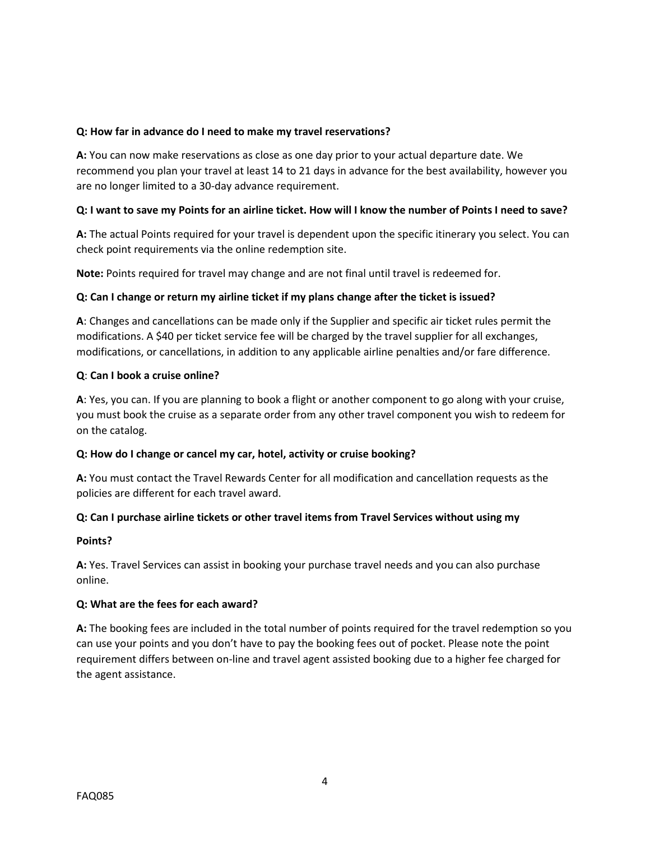## **Q: How far in advance do I need to make my travel reservations?**

**A:** You can now make reservations as close as one day prior to your actual departure date. We recommend you plan your travel at least 14 to 21 days in advance for the best availability, however you are no longer limited to a 30-day advance requirement.

## **Q: I want to save my Points for an airline ticket. How will I know the number of Points I need to save?**

**A:** The actual Points required for your travel is dependent upon the specific itinerary you select. You can check point requirements via the online redemption site.

**Note:** Points required for travel may change and are not final until travel is redeemed for.

## **Q: Can I change or return my airline ticket if my plans change after the ticket is issued?**

**A**: Changes and cancellations can be made only if the Supplier and specific air ticket rules permit the modifications. A \$40 per ticket service fee will be charged by the travel supplier for all exchanges, modifications, or cancellations, in addition to any applicable airline penalties and/or fare difference.

#### **Q**: **Can I book a cruise online?**

**A**: Yes, you can. If you are planning to book a flight or another component to go along with your cruise, you must book the cruise as a separate order from any other travel component you wish to redeem for on the catalog.

#### **Q: How do I change or cancel my car, hotel, activity or cruise booking?**

**A:** You must contact the Travel Rewards Center for all modification and cancellation requests as the policies are different for each travel award.

## **Q: Can I purchase airline tickets or other travel items from Travel Services without using my**

#### **Points?**

**A:** Yes. Travel Services can assist in booking your purchase travel needs and you can also purchase online.

#### **Q: What are the fees for each award?**

**A:** The booking fees are included in the total number of points required for the travel redemption so you can use your points and you don't have to pay the booking fees out of pocket. Please note the point requirement differs between on-line and travel agent assisted booking due to a higher fee charged for the agent assistance.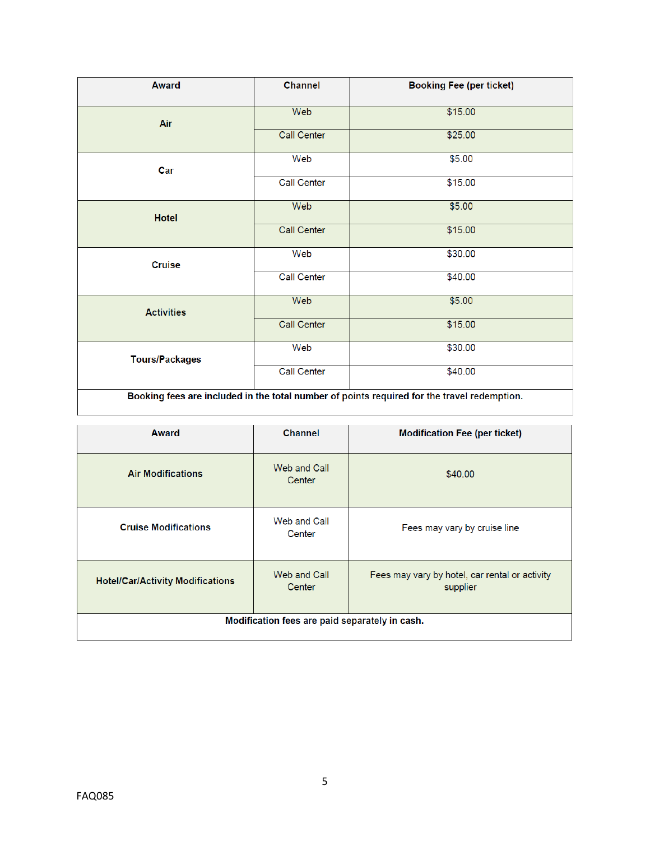| <b>Award</b>          | <b>Channel</b>     | <b>Booking Fee (per ticket)</b>                                                             |
|-----------------------|--------------------|---------------------------------------------------------------------------------------------|
| Air                   | Web                | \$15.00                                                                                     |
|                       | Call Center        | \$25.00                                                                                     |
| Car                   | Web                | \$5.00                                                                                      |
|                       | <b>Call Center</b> | \$15.00                                                                                     |
| Hotel                 | Web                | \$5.00                                                                                      |
|                       | <b>Call Center</b> | \$15.00                                                                                     |
| <b>Cruise</b>         | Web                | \$30.00                                                                                     |
|                       | <b>Call Center</b> | \$40.00                                                                                     |
| <b>Activities</b>     | Web                | \$5.00                                                                                      |
|                       | Call Center        | \$15.00                                                                                     |
| <b>Tours/Packages</b> | Web                | \$30.00                                                                                     |
|                       | <b>Call Center</b> | \$40.00                                                                                     |
|                       |                    | Booking fees are included in the total number of points required for the travel redemption. |

| <b>Award</b>                            | <b>Channel</b>                                 | <b>Modification Fee (per ticket)</b>                       |
|-----------------------------------------|------------------------------------------------|------------------------------------------------------------|
| <b>Air Modifications</b>                | Web and Call<br>Center                         | \$40.00                                                    |
| <b>Cruise Modifications</b>             | Web and Call<br>Center                         | Fees may vary by cruise line                               |
| <b>Hotel/Car/Activity Modifications</b> | Web and Call<br>Center                         | Fees may vary by hotel, car rental or activity<br>supplier |
|                                         | Modification fees are paid separately in cash. |                                                            |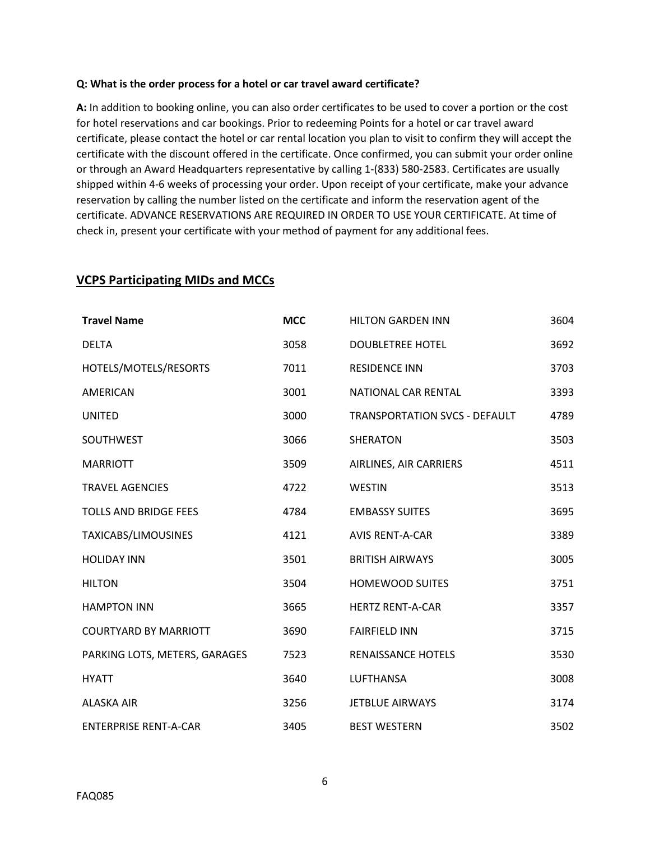#### **Q: What is the order process for a hotel or car travel award certificate?**

**A:** In addition to booking online, you can also order certificates to be used to cover a portion or the cost for hotel reservations and car bookings. Prior to redeeming Points for a hotel or car travel award certificate, please contact the hotel or car rental location you plan to visit to confirm they will accept the certificate with the discount offered in the certificate. Once confirmed, you can submit your order online or through an Award Headquarters representative by calling 1-(833) 580-2583. Certificates are usually shipped within 4-6 weeks of processing your order. Upon receipt of your certificate, make your advance reservation by calling the number listed on the certificate and inform the reservation agent of the certificate. ADVANCE RESERVATIONS ARE REQUIRED IN ORDER TO USE YOUR CERTIFICATE. At time of check in, present your certificate with your method of payment for any additional fees.

| <b>Travel Name</b>            | <b>MCC</b> | <b>HILTON GARDEN INN</b>             | 3604 |
|-------------------------------|------------|--------------------------------------|------|
| <b>DELTA</b>                  | 3058       | <b>DOUBLETREE HOTEL</b>              | 3692 |
| HOTELS/MOTELS/RESORTS         | 7011       | <b>RESIDENCE INN</b>                 | 3703 |
| <b>AMERICAN</b>               | 3001       | NATIONAL CAR RENTAL                  | 3393 |
| <b>UNITED</b>                 | 3000       | <b>TRANSPORTATION SVCS - DEFAULT</b> | 4789 |
| <b>SOUTHWEST</b>              | 3066       | <b>SHERATON</b>                      | 3503 |
| <b>MARRIOTT</b>               | 3509       | AIRLINES, AIR CARRIERS               | 4511 |
| <b>TRAVEL AGENCIES</b>        | 4722       | <b>WESTIN</b>                        | 3513 |
| <b>TOLLS AND BRIDGE FEES</b>  | 4784       | <b>EMBASSY SUITES</b>                | 3695 |
| TAXICABS/LIMOUSINES           | 4121       | <b>AVIS RENT-A-CAR</b>               | 3389 |
| <b>HOLIDAY INN</b>            | 3501       | <b>BRITISH AIRWAYS</b>               | 3005 |
| <b>HILTON</b>                 | 3504       | <b>HOMEWOOD SUITES</b>               | 3751 |
| <b>HAMPTON INN</b>            | 3665       | <b>HERTZ RENT-A-CAR</b>              | 3357 |
| <b>COURTYARD BY MARRIOTT</b>  | 3690       | <b>FAIRFIELD INN</b>                 | 3715 |
| PARKING LOTS, METERS, GARAGES | 7523       | RENAISSANCE HOTELS                   | 3530 |
| <b>HYATT</b>                  | 3640       | <b>LUFTHANSA</b>                     | 3008 |
| <b>ALASKA AIR</b>             | 3256       | <b>JETBLUE AIRWAYS</b>               | 3174 |
| <b>ENTERPRISE RENT-A-CAR</b>  | 3405       | <b>BEST WESTERN</b>                  | 3502 |

## **VCPS Participating MIDs and MCCs**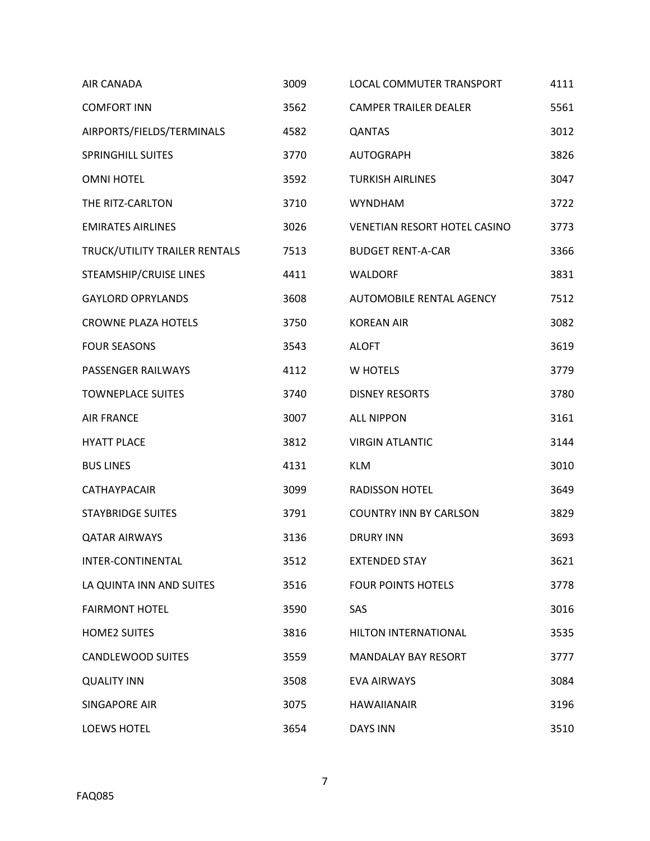| AIR CANADA                    | 3009 | LOCAL COMMUTER TRANSPORT      | 4111 |
|-------------------------------|------|-------------------------------|------|
| <b>COMFORT INN</b>            | 3562 | <b>CAMPER TRAILER DEALER</b>  | 5561 |
| AIRPORTS/FIELDS/TERMINALS     | 4582 | <b>QANTAS</b>                 | 3012 |
| <b>SPRINGHILL SUITES</b>      | 3770 | <b>AUTOGRAPH</b>              | 3826 |
| <b>OMNI HOTEL</b>             | 3592 | <b>TURKISH AIRLINES</b>       | 3047 |
| THE RITZ-CARLTON              | 3710 | <b>WYNDHAM</b>                | 3722 |
| <b>EMIRATES AIRLINES</b>      | 3026 | VENETIAN RESORT HOTEL CASINO  | 3773 |
| TRUCK/UTILITY TRAILER RENTALS | 7513 | <b>BUDGET RENT-A-CAR</b>      | 3366 |
| STEAMSHIP/CRUISE LINES        | 4411 | <b>WALDORF</b>                | 3831 |
| <b>GAYLORD OPRYLANDS</b>      | 3608 | AUTOMOBILE RENTAL AGENCY      | 7512 |
| <b>CROWNE PLAZA HOTELS</b>    | 3750 | <b>KOREAN AIR</b>             | 3082 |
| <b>FOUR SEASONS</b>           | 3543 | <b>ALOFT</b>                  | 3619 |
| PASSENGER RAILWAYS            | 4112 | W HOTELS                      | 3779 |
| <b>TOWNEPLACE SUITES</b>      | 3740 | <b>DISNEY RESORTS</b>         | 3780 |
| <b>AIR FRANCE</b>             | 3007 | <b>ALL NIPPON</b>             | 3161 |
| <b>HYATT PLACE</b>            | 3812 | <b>VIRGIN ATLANTIC</b>        | 3144 |
| <b>BUS LINES</b>              | 4131 | <b>KLM</b>                    | 3010 |
| <b>CATHAYPACAIR</b>           | 3099 | <b>RADISSON HOTEL</b>         | 3649 |
| <b>STAYBRIDGE SUITES</b>      | 3791 | <b>COUNTRY INN BY CARLSON</b> | 3829 |
| <b>QATAR AIRWAYS</b>          | 3136 | <b>DRURY INN</b>              | 3693 |
| INTER-CONTINENTAL             | 3512 | <b>EXTENDED STAY</b>          | 3621 |
| LA QUINTA INN AND SUITES      | 3516 | <b>FOUR POINTS HOTELS</b>     | 3778 |
| <b>FAIRMONT HOTEL</b>         | 3590 | SAS                           | 3016 |
| <b>HOME2 SUITES</b>           | 3816 | HILTON INTERNATIONAL          | 3535 |
| <b>CANDLEWOOD SUITES</b>      | 3559 | <b>MANDALAY BAY RESORT</b>    | 3777 |
| <b>QUALITY INN</b>            | 3508 | EVA AIRWAYS                   | 3084 |
| SINGAPORE AIR                 | 3075 | <b>HAWAIIANAIR</b>            | 3196 |
| <b>LOEWS HOTEL</b>            | 3654 | <b>DAYS INN</b>               | 3510 |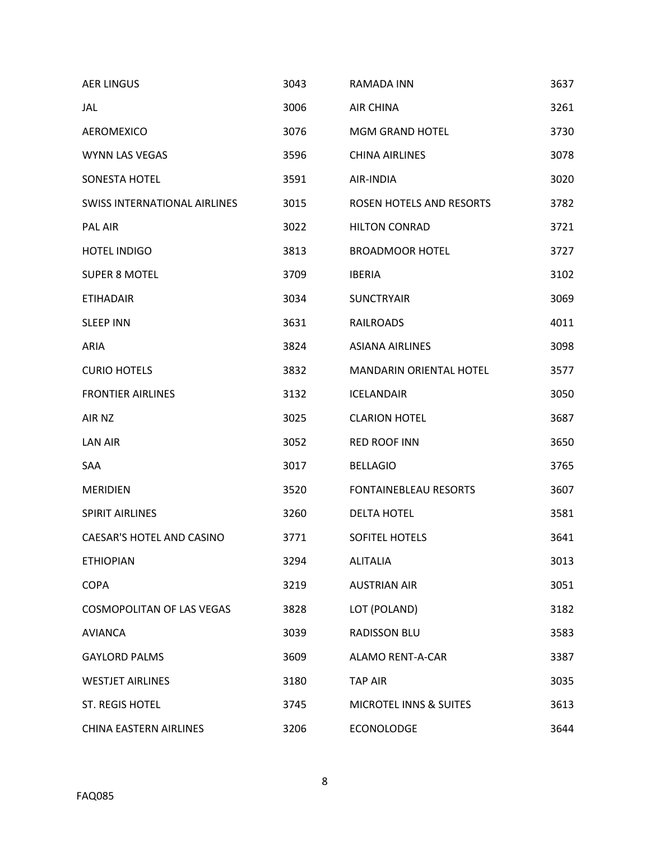| <b>AER LINGUS</b>                   | 3043 | RAMADA INN                        | 3637 |
|-------------------------------------|------|-----------------------------------|------|
| <b>JAL</b>                          | 3006 | <b>AIR CHINA</b>                  | 3261 |
| AEROMEXICO                          | 3076 | <b>MGM GRAND HOTEL</b>            | 3730 |
| <b>WYNN LAS VEGAS</b>               | 3596 | <b>CHINA AIRLINES</b>             | 3078 |
| <b>SONESTA HOTEL</b>                | 3591 | AIR-INDIA                         | 3020 |
| <b>SWISS INTERNATIONAL AIRLINES</b> | 3015 | <b>ROSEN HOTELS AND RESORTS</b>   | 3782 |
| <b>PAL AIR</b>                      | 3022 | <b>HILTON CONRAD</b>              | 3721 |
| <b>HOTEL INDIGO</b>                 | 3813 | <b>BROADMOOR HOTEL</b>            | 3727 |
| <b>SUPER 8 MOTEL</b>                | 3709 | <b>IBERIA</b>                     | 3102 |
| <b>ETIHADAIR</b>                    | 3034 | <b>SUNCTRYAIR</b>                 | 3069 |
| <b>SLEEP INN</b>                    | 3631 | RAILROADS                         | 4011 |
| ARIA                                | 3824 | <b>ASIANA AIRLINES</b>            | 3098 |
| <b>CURIO HOTELS</b>                 | 3832 | <b>MANDARIN ORIENTAL HOTEL</b>    | 3577 |
| <b>FRONTIER AIRLINES</b>            | 3132 | <b>ICELANDAIR</b>                 | 3050 |
| AIR NZ                              | 3025 | <b>CLARION HOTEL</b>              | 3687 |
| <b>LAN AIR</b>                      | 3052 | <b>RED ROOF INN</b>               | 3650 |
| SAA                                 | 3017 | <b>BELLAGIO</b>                   | 3765 |
| <b>MERIDIEN</b>                     | 3520 | FONTAINEBLEAU RESORTS             | 3607 |
| <b>SPIRIT AIRLINES</b>              | 3260 | <b>DELTA HOTEL</b>                | 3581 |
| CAESAR'S HOTEL AND CASINO           | 3771 | SOFITEL HOTELS                    | 3641 |
| <b>ETHIOPIAN</b>                    | 3294 | <b>ALITALIA</b>                   | 3013 |
| <b>COPA</b>                         | 3219 | <b>AUSTRIAN AIR</b>               | 3051 |
| <b>COSMOPOLITAN OF LAS VEGAS</b>    | 3828 | LOT (POLAND)                      | 3182 |
| <b>AVIANCA</b>                      | 3039 | <b>RADISSON BLU</b>               | 3583 |
| <b>GAYLORD PALMS</b>                | 3609 | <b>ALAMO RENT-A-CAR</b>           | 3387 |
| <b>WESTJET AIRLINES</b>             | 3180 | <b>TAP AIR</b>                    | 3035 |
| ST. REGIS HOTEL                     | 3745 | <b>MICROTEL INNS &amp; SUITES</b> | 3613 |
| CHINA EASTERN AIRLINES              | 3206 | ECONOLODGE                        | 3644 |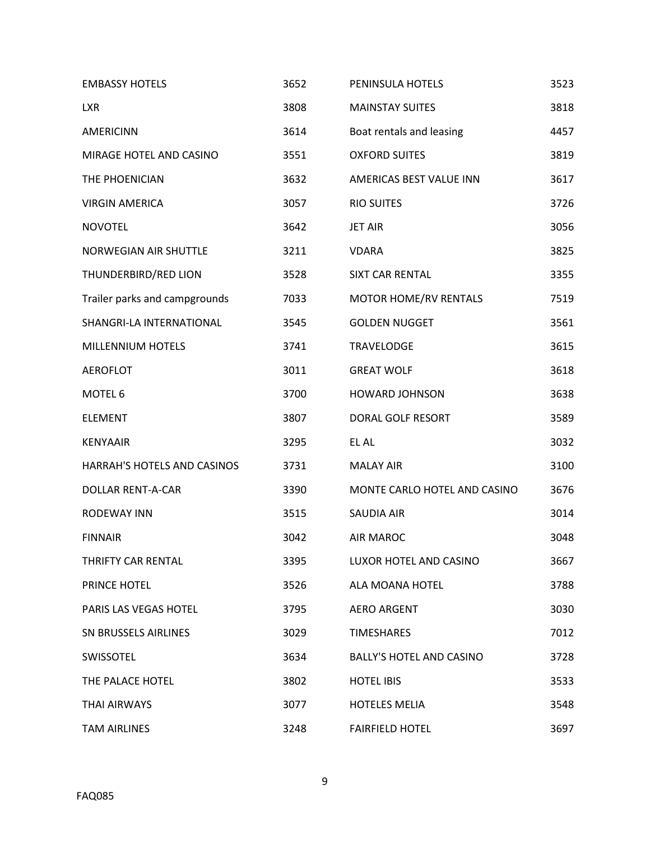| <b>EMBASSY HOTELS</b>         | 3652 | PENINSULA HOTELS                | 3523 |
|-------------------------------|------|---------------------------------|------|
| <b>LXR</b>                    | 3808 | <b>MAINSTAY SUITES</b>          | 3818 |
| AMERICINN                     | 3614 | Boat rentals and leasing        | 4457 |
| MIRAGE HOTEL AND CASINO       | 3551 | <b>OXFORD SUITES</b>            | 3819 |
| THE PHOENICIAN                | 3632 | AMERICAS BEST VALUE INN         | 3617 |
| <b>VIRGIN AMERICA</b>         | 3057 | <b>RIO SUITES</b>               | 3726 |
| <b>NOVOTEL</b>                | 3642 | <b>JET AIR</b>                  | 3056 |
| NORWEGIAN AIR SHUTTLE         | 3211 | <b>VDARA</b>                    | 3825 |
| THUNDERBIRD/RED LION          | 3528 | <b>SIXT CAR RENTAL</b>          | 3355 |
| Trailer parks and campgrounds | 7033 | <b>MOTOR HOME/RV RENTALS</b>    | 7519 |
| SHANGRI-LA INTERNATIONAL      | 3545 | <b>GOLDEN NUGGET</b>            | 3561 |
| MILLENNIUM HOTELS             | 3741 | <b>TRAVELODGE</b>               | 3615 |
| <b>AEROFLOT</b>               | 3011 | <b>GREAT WOLF</b>               | 3618 |
| MOTEL 6                       | 3700 | <b>HOWARD JOHNSON</b>           | 3638 |
| <b>ELEMENT</b>                | 3807 | DORAL GOLF RESORT               | 3589 |
| <b>KENYAAIR</b>               | 3295 | EL AL                           | 3032 |
| HARRAH'S HOTELS AND CASINOS   | 3731 | <b>MALAY AIR</b>                | 3100 |
| <b>DOLLAR RENT-A-CAR</b>      | 3390 | MONTE CARLO HOTEL AND CASINO    | 3676 |
| <b>RODEWAY INN</b>            | 3515 | <b>SAUDIA AIR</b>               | 3014 |
| <b>FINNAIR</b>                | 3042 | <b>AIR MAROC</b>                | 3048 |
| THRIFTY CAR RENTAL            | 3395 | LUXOR HOTEL AND CASINO          | 3667 |
| PRINCE HOTEL                  | 3526 | ALA MOANA HOTEL                 | 3788 |
| PARIS LAS VEGAS HOTEL         | 3795 | <b>AERO ARGENT</b>              | 3030 |
| SN BRUSSELS AIRLINES          | 3029 | <b>TIMESHARES</b>               | 7012 |
| SWISSOTEL                     | 3634 | <b>BALLY'S HOTEL AND CASINO</b> | 3728 |
| THE PALACE HOTEL              | 3802 | <b>HOTEL IBIS</b>               | 3533 |
| THAI AIRWAYS                  | 3077 | <b>HOTELES MELIA</b>            | 3548 |
| <b>TAM AIRLINES</b>           | 3248 | <b>FAIRFIELD HOTEL</b>          | 3697 |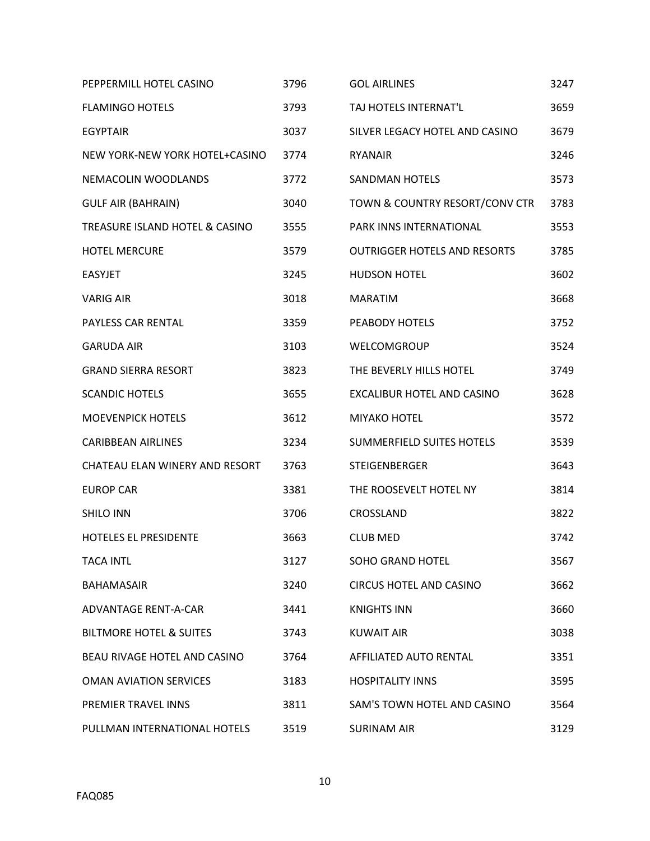| PEPPERMILL HOTEL CASINO            | 3796 | <b>GOL AIRLINES</b>                 | 3247 |
|------------------------------------|------|-------------------------------------|------|
| <b>FLAMINGO HOTELS</b>             | 3793 | TAJ HOTELS INTERNAT'L               | 3659 |
| <b>EGYPTAIR</b>                    | 3037 | SILVER LEGACY HOTEL AND CASINO      | 3679 |
| NEW YORK-NEW YORK HOTEL+CASINO     | 3774 | <b>RYANAIR</b>                      | 3246 |
| NEMACOLIN WOODLANDS                | 3772 | <b>SANDMAN HOTELS</b>               | 3573 |
| <b>GULF AIR (BAHRAIN)</b>          | 3040 | TOWN & COUNTRY RESORT/CONV CTR      | 3783 |
| TREASURE ISLAND HOTEL & CASINO     | 3555 | PARK INNS INTERNATIONAL             | 3553 |
| <b>HOTEL MERCURE</b>               | 3579 | <b>OUTRIGGER HOTELS AND RESORTS</b> | 3785 |
| <b>EASYJET</b>                     | 3245 | <b>HUDSON HOTEL</b>                 | 3602 |
| <b>VARIG AIR</b>                   | 3018 | <b>MARATIM</b>                      | 3668 |
| PAYLESS CAR RENTAL                 | 3359 | PEABODY HOTELS                      | 3752 |
| <b>GARUDA AIR</b>                  | 3103 | WELCOMGROUP                         | 3524 |
| <b>GRAND SIERRA RESORT</b>         | 3823 | THE BEVERLY HILLS HOTEL             | 3749 |
| <b>SCANDIC HOTELS</b>              | 3655 | EXCALIBUR HOTEL AND CASINO          | 3628 |
| <b>MOEVENPICK HOTELS</b>           | 3612 | MIYAKO HOTEL                        | 3572 |
| <b>CARIBBEAN AIRLINES</b>          | 3234 | <b>SUMMERFIELD SUITES HOTELS</b>    | 3539 |
| CHATEAU ELAN WINERY AND RESORT     | 3763 | <b>STEIGENBERGER</b>                | 3643 |
| <b>EUROP CAR</b>                   | 3381 | THE ROOSEVELT HOTEL NY              | 3814 |
| <b>SHILO INN</b>                   | 3706 | CROSSLAND                           | 3822 |
| HOTELES EL PRESIDENTE              | 3663 | <b>CLUB MED</b>                     | 3742 |
| <b>TACA INTL</b>                   | 3127 | <b>SOHO GRAND HOTEL</b>             | 3567 |
| <b>BAHAMASAIR</b>                  | 3240 | <b>CIRCUS HOTEL AND CASINO</b>      | 3662 |
| ADVANTAGE RENT-A-CAR               | 3441 | <b>KNIGHTS INN</b>                  | 3660 |
| <b>BILTMORE HOTEL &amp; SUITES</b> | 3743 | <b>KUWAIT AIR</b>                   | 3038 |
| BEAU RIVAGE HOTEL AND CASINO       | 3764 | AFFILIATED AUTO RENTAL              | 3351 |
| <b>OMAN AVIATION SERVICES</b>      | 3183 | <b>HOSPITALITY INNS</b>             | 3595 |
| PREMIER TRAVEL INNS                | 3811 | SAM'S TOWN HOTEL AND CASINO         | 3564 |
| PULLMAN INTERNATIONAL HOTELS       | 3519 | <b>SURINAM AIR</b>                  | 3129 |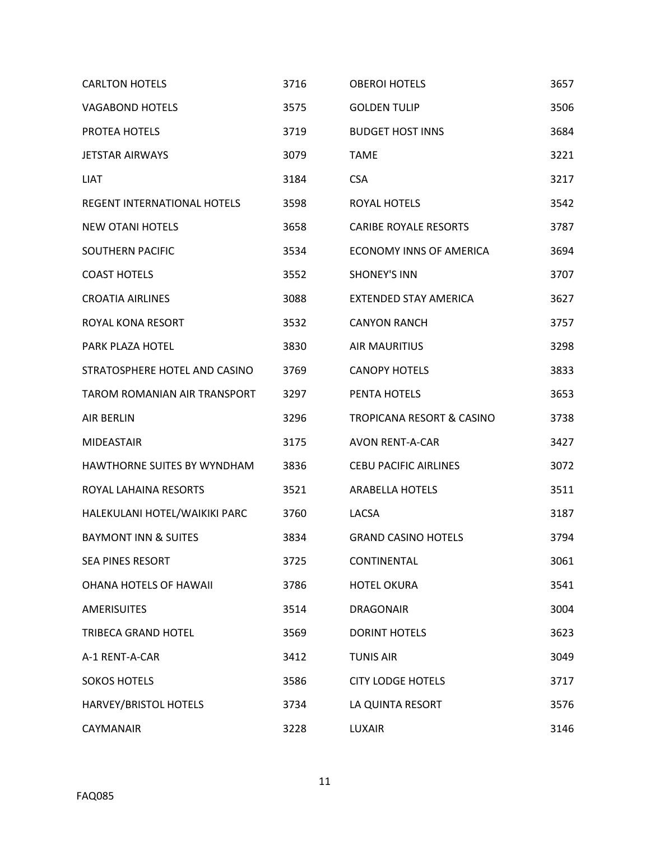| <b>CARLTON HOTELS</b>              | 3716 | <b>OBEROI HOTELS</b>                 | 3657 |
|------------------------------------|------|--------------------------------------|------|
| <b>VAGABOND HOTELS</b>             | 3575 | <b>GOLDEN TULIP</b>                  | 3506 |
| PROTEA HOTELS                      | 3719 | <b>BUDGET HOST INNS</b>              | 3684 |
| <b>JETSTAR AIRWAYS</b>             | 3079 | <b>TAME</b>                          | 3221 |
| <b>LIAT</b>                        | 3184 | <b>CSA</b>                           | 3217 |
| <b>REGENT INTERNATIONAL HOTELS</b> | 3598 | ROYAL HOTELS                         | 3542 |
| <b>NEW OTANI HOTELS</b>            | 3658 | <b>CARIBE ROYALE RESORTS</b>         | 3787 |
| <b>SOUTHERN PACIFIC</b>            | 3534 | ECONOMY INNS OF AMERICA              | 3694 |
| <b>COAST HOTELS</b>                | 3552 | <b>SHONEY'S INN</b>                  | 3707 |
| <b>CROATIA AIRLINES</b>            | 3088 | <b>EXTENDED STAY AMERICA</b>         | 3627 |
| ROYAL KONA RESORT                  | 3532 | <b>CANYON RANCH</b>                  | 3757 |
| <b>PARK PLAZA HOTEL</b>            | 3830 | <b>AIR MAURITIUS</b>                 | 3298 |
| STRATOSPHERE HOTEL AND CASINO      | 3769 | <b>CANOPY HOTELS</b>                 | 3833 |
| TAROM ROMANIAN AIR TRANSPORT       | 3297 | PENTA HOTELS                         | 3653 |
| <b>AIR BERLIN</b>                  | 3296 | <b>TROPICANA RESORT &amp; CASINO</b> | 3738 |
| <b>MIDEASTAIR</b>                  | 3175 | <b>AVON RENT-A-CAR</b>               | 3427 |
| HAWTHORNE SUITES BY WYNDHAM        | 3836 | <b>CEBU PACIFIC AIRLINES</b>         | 3072 |
| ROYAL LAHAINA RESORTS              | 3521 | <b>ARABELLA HOTELS</b>               | 3511 |
| HALEKULANI HOTEL/WAIKIKI PARC      | 3760 | LACSA                                | 3187 |
| <b>BAYMONT INN &amp; SUITES</b>    | 3834 | <b>GRAND CASINO HOTELS</b>           | 3794 |
| SEA PINES RESORT                   | 3725 | CONTINENTAL                          | 3061 |
| <b>OHANA HOTELS OF HAWAII</b>      | 3786 | <b>HOTEL OKURA</b>                   | 3541 |
| <b>AMERISUITES</b>                 | 3514 | <b>DRAGONAIR</b>                     | 3004 |
| TRIBECA GRAND HOTEL                | 3569 | <b>DORINT HOTELS</b>                 | 3623 |
| A-1 RENT-A-CAR                     | 3412 | <b>TUNIS AIR</b>                     | 3049 |
| <b>SOKOS HOTELS</b>                | 3586 | <b>CITY LODGE HOTELS</b>             | 3717 |
| HARVEY/BRISTOL HOTELS              | 3734 | LA QUINTA RESORT                     | 3576 |
| CAYMANAIR                          | 3228 | LUXAIR                               | 3146 |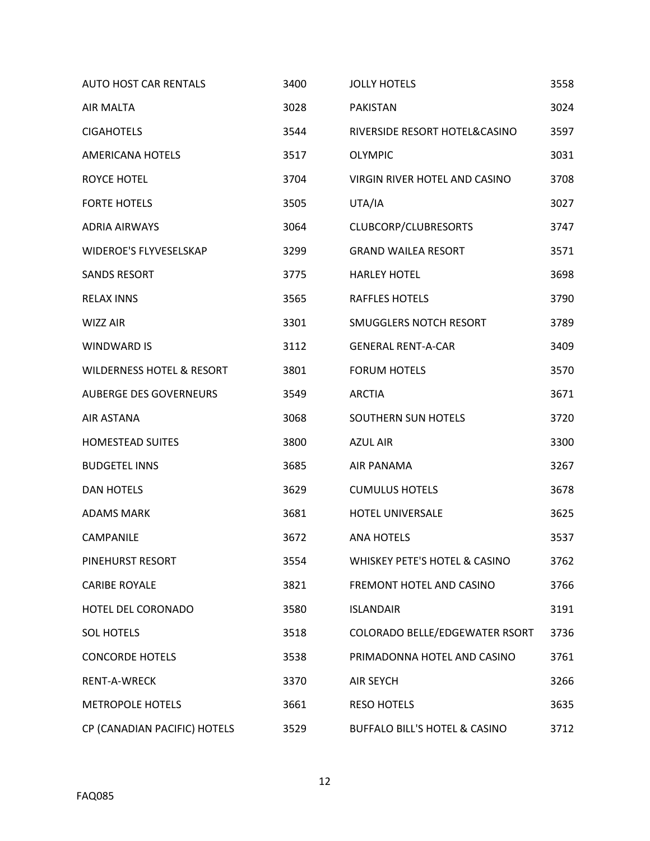| <b>AUTO HOST CAR RENTALS</b>         | 3400 | <b>JOLLY HOTELS</b>            | 3558 |
|--------------------------------------|------|--------------------------------|------|
| AIR MALTA                            | 3028 | <b>PAKISTAN</b>                | 3024 |
| <b>CIGAHOTELS</b>                    | 3544 | RIVERSIDE RESORT HOTEL&CASINO  | 3597 |
| <b>AMERICANA HOTELS</b>              | 3517 | <b>OLYMPIC</b>                 | 3031 |
| <b>ROYCE HOTEL</b>                   | 3704 | VIRGIN RIVER HOTEL AND CASINO  | 3708 |
| <b>FORTE HOTELS</b>                  | 3505 | UTA/IA                         | 3027 |
| <b>ADRIA AIRWAYS</b>                 | 3064 | CLUBCORP/CLUBRESORTS           | 3747 |
| <b>WIDEROE'S FLYVESELSKAP</b>        | 3299 | <b>GRAND WAILEA RESORT</b>     | 3571 |
| <b>SANDS RESORT</b>                  | 3775 | <b>HARLEY HOTEL</b>            | 3698 |
| <b>RELAX INNS</b>                    | 3565 | <b>RAFFLES HOTELS</b>          | 3790 |
| <b>WIZZ AIR</b>                      | 3301 | SMUGGLERS NOTCH RESORT         | 3789 |
| <b>WINDWARD IS</b>                   | 3112 | <b>GENERAL RENT-A-CAR</b>      | 3409 |
| <b>WILDERNESS HOTEL &amp; RESORT</b> | 3801 | <b>FORUM HOTELS</b>            | 3570 |
| AUBERGE DES GOVERNEURS               | 3549 | <b>ARCTIA</b>                  | 3671 |
| AIR ASTANA                           | 3068 | SOUTHERN SUN HOTELS            | 3720 |
| <b>HOMESTEAD SUITES</b>              | 3800 | <b>AZUL AIR</b>                | 3300 |
| <b>BUDGETEL INNS</b>                 | 3685 | AIR PANAMA                     | 3267 |
| <b>DAN HOTELS</b>                    | 3629 | <b>CUMULUS HOTELS</b>          | 3678 |
| <b>ADAMS MARK</b>                    | 3681 | HOTEL UNIVERSALE               | 3625 |
| CAMPANILE                            | 3672 | <b>ANA HOTELS</b>              | 3537 |
| PINEHURST RESORT                     | 3554 | WHISKEY PETE'S HOTEL & CASINO  | 3762 |
| <b>CARIBE ROYALE</b>                 | 3821 | FREMONT HOTEL AND CASINO       | 3766 |
| HOTEL DEL CORONADO                   | 3580 | <b>ISLANDAIR</b>               | 3191 |
| <b>SOL HOTELS</b>                    | 3518 | COLORADO BELLE/EDGEWATER RSORT | 3736 |
| <b>CONCORDE HOTELS</b>               | 3538 | PRIMADONNA HOTEL AND CASINO    | 3761 |
| RENT-A-WRECK                         | 3370 | <b>AIR SEYCH</b>               | 3266 |
| <b>METROPOLE HOTELS</b>              | 3661 | <b>RESO HOTELS</b>             | 3635 |
| CP (CANADIAN PACIFIC) HOTELS         | 3529 | BUFFALO BILL'S HOTEL & CASINO  | 3712 |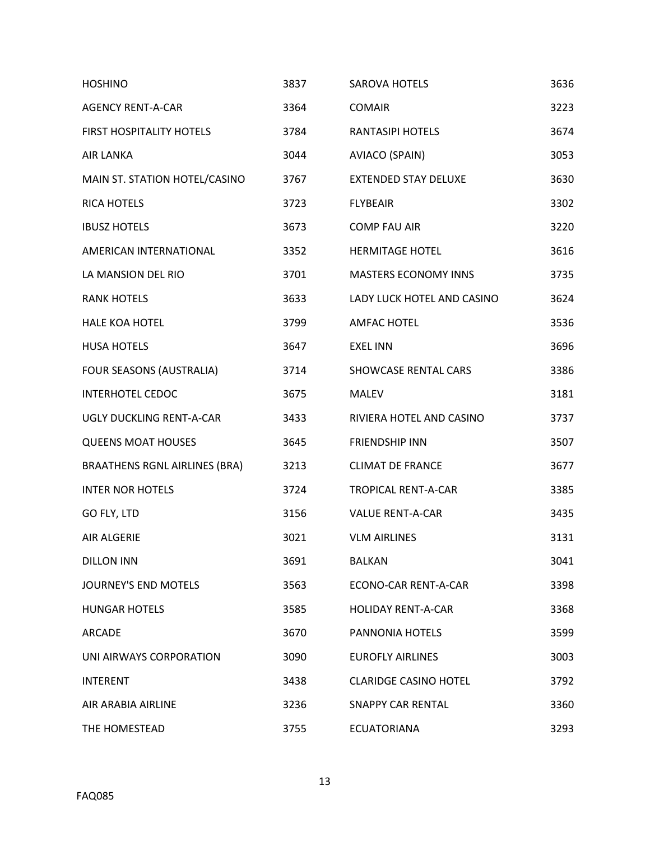| <b>HOSHINO</b>                       | 3837 | <b>SAROVA HOTELS</b>         | 3636 |
|--------------------------------------|------|------------------------------|------|
| <b>AGENCY RENT-A-CAR</b>             | 3364 | <b>COMAIR</b>                | 3223 |
| FIRST HOSPITALITY HOTELS             | 3784 | <b>RANTASIPI HOTELS</b>      | 3674 |
| <b>AIR LANKA</b>                     | 3044 | AVIACO (SPAIN)               | 3053 |
| MAIN ST. STATION HOTEL/CASINO        | 3767 | <b>EXTENDED STAY DELUXE</b>  | 3630 |
| <b>RICA HOTELS</b>                   | 3723 | <b>FLYBEAIR</b>              | 3302 |
| <b>IBUSZ HOTELS</b>                  | 3673 | <b>COMP FAU AIR</b>          | 3220 |
| AMERICAN INTERNATIONAL               | 3352 | <b>HERMITAGE HOTEL</b>       | 3616 |
| LA MANSION DEL RIO                   | 3701 | <b>MASTERS ECONOMY INNS</b>  | 3735 |
| <b>RANK HOTELS</b>                   | 3633 | LADY LUCK HOTEL AND CASINO   | 3624 |
| <b>HALE KOA HOTEL</b>                | 3799 | <b>AMFAC HOTEL</b>           | 3536 |
| <b>HUSA HOTELS</b>                   | 3647 | <b>EXEL INN</b>              | 3696 |
| FOUR SEASONS (AUSTRALIA)             | 3714 | SHOWCASE RENTAL CARS         | 3386 |
| <b>INTERHOTEL CEDOC</b>              | 3675 | <b>MALEV</b>                 | 3181 |
| <b>UGLY DUCKLING RENT-A-CAR</b>      | 3433 | RIVIERA HOTEL AND CASINO     | 3737 |
| <b>QUEENS MOAT HOUSES</b>            | 3645 | <b>FRIENDSHIP INN</b>        | 3507 |
| <b>BRAATHENS RGNL AIRLINES (BRA)</b> | 3213 | <b>CLIMAT DE FRANCE</b>      | 3677 |
| <b>INTER NOR HOTELS</b>              | 3724 | <b>TROPICAL RENT-A-CAR</b>   | 3385 |
| GO FLY, LTD                          | 3156 | <b>VALUE RENT-A-CAR</b>      | 3435 |
| AIR ALGERIE                          | 3021 | <b>VLM AIRLINES</b>          | 3131 |
| <b>DILLON INN</b>                    | 3691 | <b>BALKAN</b>                | 3041 |
| <b>JOURNEY'S END MOTELS</b>          | 3563 | ECONO-CAR RENT-A-CAR         | 3398 |
| <b>HUNGAR HOTELS</b>                 | 3585 | <b>HOLIDAY RENT-A-CAR</b>    | 3368 |
| <b>ARCADE</b>                        | 3670 | <b>PANNONIA HOTELS</b>       | 3599 |
| UNI AIRWAYS CORPORATION              | 3090 | <b>EUROFLY AIRLINES</b>      | 3003 |
| <b>INTERENT</b>                      | 3438 | <b>CLARIDGE CASINO HOTEL</b> | 3792 |
| AIR ARABIA AIRLINE                   | 3236 | <b>SNAPPY CAR RENTAL</b>     | 3360 |
| THE HOMESTEAD                        | 3755 | <b>ECUATORIANA</b>           | 3293 |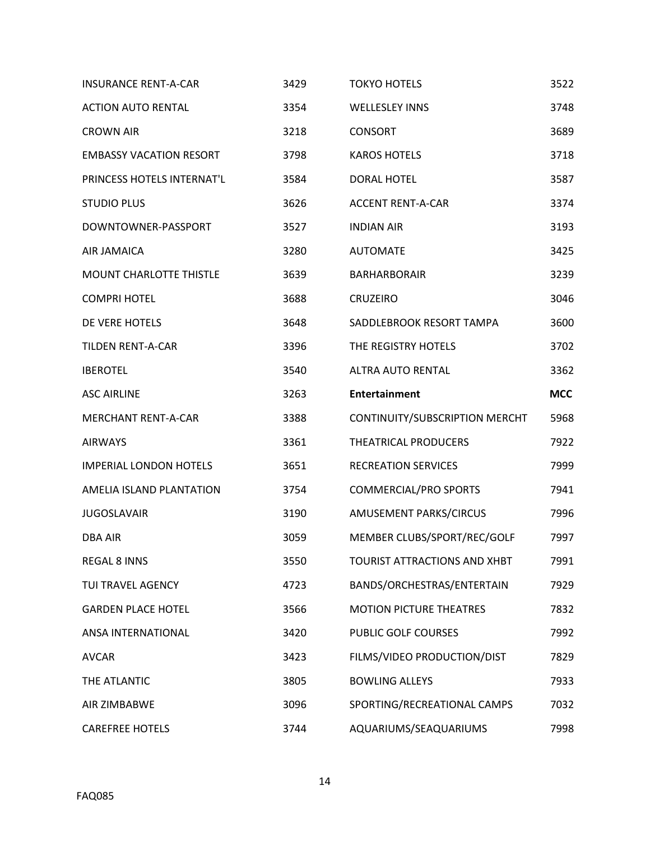| <b>INSURANCE RENT-A-CAR</b>    | 3429 | <b>TOKYO HOTELS</b>            | 3522       |
|--------------------------------|------|--------------------------------|------------|
| <b>ACTION AUTO RENTAL</b>      | 3354 | <b>WELLESLEY INNS</b>          | 3748       |
| <b>CROWN AIR</b>               | 3218 | <b>CONSORT</b>                 | 3689       |
| <b>EMBASSY VACATION RESORT</b> | 3798 | <b>KAROS HOTELS</b>            | 3718       |
| PRINCESS HOTELS INTERNAT'L     | 3584 | <b>DORAL HOTEL</b>             | 3587       |
| <b>STUDIO PLUS</b>             | 3626 | <b>ACCENT RENT-A-CAR</b>       | 3374       |
| DOWNTOWNER-PASSPORT            | 3527 | <b>INDIAN AIR</b>              | 3193       |
| AIR JAMAICA                    | 3280 | <b>AUTOMATE</b>                | 3425       |
| <b>MOUNT CHARLOTTE THISTLE</b> | 3639 | <b>BARHARBORAIR</b>            | 3239       |
| <b>COMPRI HOTEL</b>            | 3688 | <b>CRUZEIRO</b>                | 3046       |
| DE VERE HOTELS                 | 3648 | SADDLEBROOK RESORT TAMPA       | 3600       |
| <b>TILDEN RENT-A-CAR</b>       | 3396 | THE REGISTRY HOTELS            | 3702       |
| <b>IBEROTEL</b>                | 3540 | <b>ALTRA AUTO RENTAL</b>       | 3362       |
| <b>ASC AIRLINE</b>             | 3263 | <b>Entertainment</b>           | <b>MCC</b> |
| <b>MERCHANT RENT-A-CAR</b>     | 3388 | CONTINUITY/SUBSCRIPTION MERCHT | 5968       |
| <b>AIRWAYS</b>                 | 3361 | <b>THEATRICAL PRODUCERS</b>    | 7922       |
| <b>IMPERIAL LONDON HOTELS</b>  | 3651 | <b>RECREATION SERVICES</b>     | 7999       |
| AMELIA ISLAND PLANTATION       | 3754 | <b>COMMERCIAL/PRO SPORTS</b>   | 7941       |
| <b>JUGOSLAVAIR</b>             | 3190 | AMUSEMENT PARKS/CIRCUS         | 7996       |
| <b>DBA AIR</b>                 | 3059 | MEMBER CLUBS/SPORT/REC/GOLF    | 7997       |
| <b>REGAL 8 INNS</b>            | 3550 | TOURIST ATTRACTIONS AND XHBT   | 7991       |
| TUI TRAVEL AGENCY              | 4723 | BANDS/ORCHESTRAS/ENTERTAIN     | 7929       |
| <b>GARDEN PLACE HOTEL</b>      | 3566 | <b>MOTION PICTURE THEATRES</b> | 7832       |
| ANSA INTERNATIONAL             | 3420 | PUBLIC GOLF COURSES            | 7992       |
| <b>AVCAR</b>                   | 3423 | FILMS/VIDEO PRODUCTION/DIST    | 7829       |
| THE ATLANTIC                   | 3805 | <b>BOWLING ALLEYS</b>          | 7933       |
| AIR ZIMBABWE                   | 3096 | SPORTING/RECREATIONAL CAMPS    | 7032       |
| <b>CAREFREE HOTELS</b>         | 3744 | AQUARIUMS/SEAQUARIUMS          | 7998       |